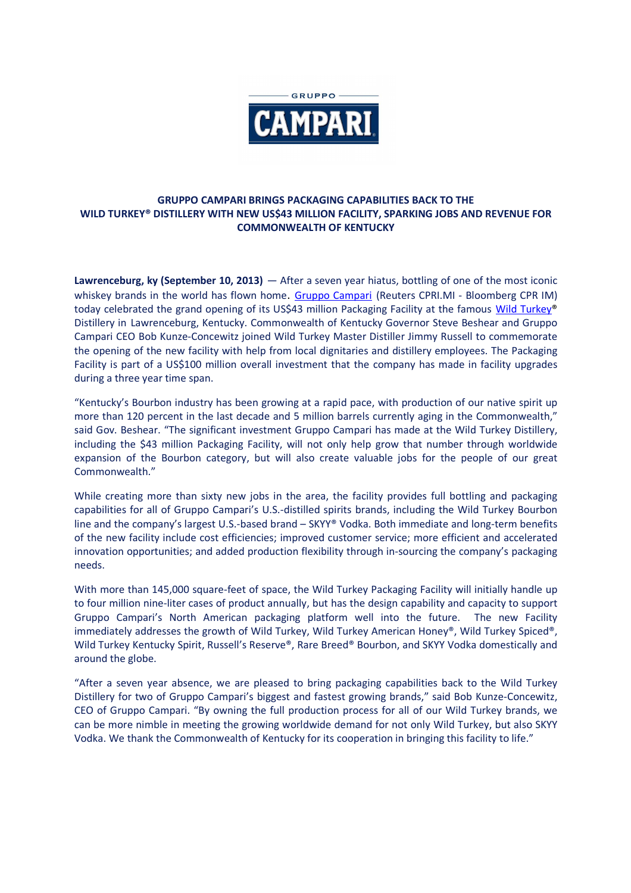

# **GRUPPO CAMPARI BRINGS PACKAGING CAPABILITIES BACK TO THE WILD TURKEY® DISTILLERY WITH NEW US\$43 MILLION FACILITY, SPARKING JOBS AND REVENUE FOR COMMONWEALTH OF KENTUCKY**

**Lawrenceburg, ky (September 10, 2013)** — After a seven year hiatus, bottling of one of the most iconic whiskey brands in the world has flown home. Gruppo Campari (Reuters CPRI.MI - Bloomberg CPR IM) today celebrated the grand opening of its US\$43 million Packaging Facility at the famous Wild Turkey® Distillery in Lawrenceburg, Kentucky. Commonwealth of Kentucky Governor Steve Beshear and Gruppo Campari CEO Bob Kunze-Concewitz joined Wild Turkey Master Distiller Jimmy Russell to commemorate the opening of the new facility with help from local dignitaries and distillery employees. The Packaging Facility is part of a US\$100 million overall investment that the company has made in facility upgrades during a three year time span.

"Kentucky's Bourbon industry has been growing at a rapid pace, with production of our native spirit up more than 120 percent in the last decade and 5 million barrels currently aging in the Commonwealth," said Gov. Beshear. "The significant investment Gruppo Campari has made at the Wild Turkey Distillery, including the \$43 million Packaging Facility, will not only help grow that number through worldwide expansion of the Bourbon category, but will also create valuable jobs for the people of our great Commonwealth."

While creating more than sixty new jobs in the area, the facility provides full bottling and packaging capabilities for all of Gruppo Campari's U.S.-distilled spirits brands, including the Wild Turkey Bourbon line and the company's largest U.S.-based brand – SKYY® Vodka. Both immediate and long-term benefits of the new facility include cost efficiencies; improved customer service; more efficient and accelerated innovation opportunities; and added production flexibility through in-sourcing the company's packaging needs.

With more than 145,000 square-feet of space, the Wild Turkey Packaging Facility will initially handle up to four million nine-liter cases of product annually, but has the design capability and capacity to support Gruppo Campari's North American packaging platform well into the future. The new Facility immediately addresses the growth of Wild Turkey, Wild Turkey American Honey®, Wild Turkey Spiced®, Wild Turkey Kentucky Spirit, Russell's Reserve®, Rare Breed® Bourbon, and SKYY Vodka domestically and around the globe.

"After a seven year absence, we are pleased to bring packaging capabilities back to the Wild Turkey Distillery for two of Gruppo Campari's biggest and fastest growing brands," said Bob Kunze-Concewitz, CEO of Gruppo Campari. "By owning the full production process for all of our Wild Turkey brands, we can be more nimble in meeting the growing worldwide demand for not only Wild Turkey, but also SKYY Vodka. We thank the Commonwealth of Kentucky for its cooperation in bringing this facility to life."